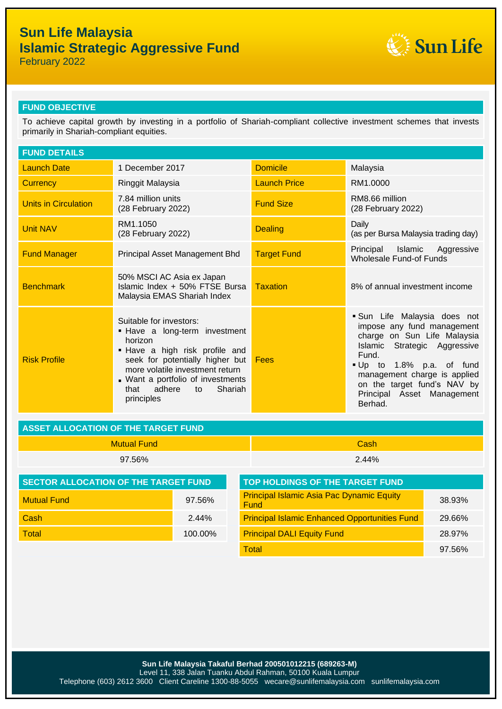# **Sun Life Malaysia Islamic Strategic Aggressive Fund**



February 2022

### **FUND OBJECTIVE**

To achieve capital growth by investing in a portfolio of Shariah-compliant collective investment schemes that invests primarily in Shariah-compliant equities.

| <b>FUND DETAILS</b>         |                                                                                                                                                                                                                                                                   |                     |                                                                                                                                                                                                                                                                     |  |
|-----------------------------|-------------------------------------------------------------------------------------------------------------------------------------------------------------------------------------------------------------------------------------------------------------------|---------------------|---------------------------------------------------------------------------------------------------------------------------------------------------------------------------------------------------------------------------------------------------------------------|--|
| <b>Launch Date</b>          | 1 December 2017                                                                                                                                                                                                                                                   | <b>Domicile</b>     | Malaysia                                                                                                                                                                                                                                                            |  |
| <b>Currency</b>             | Ringgit Malaysia                                                                                                                                                                                                                                                  | <b>Launch Price</b> | RM1.0000                                                                                                                                                                                                                                                            |  |
| <b>Units in Circulation</b> | 7.84 million units<br>(28 February 2022)                                                                                                                                                                                                                          | <b>Fund Size</b>    | RM8.66 million<br>(28 February 2022)                                                                                                                                                                                                                                |  |
| <b>Unit NAV</b>             | RM1.1050<br>(28 February 2022)                                                                                                                                                                                                                                    | <b>Dealing</b>      | Daily<br>(as per Bursa Malaysia trading day)                                                                                                                                                                                                                        |  |
| <b>Fund Manager</b>         | Principal Asset Management Bhd                                                                                                                                                                                                                                    | <b>Target Fund</b>  | Principal Islamic Aggressive<br>Wholesale Fund-of Funds                                                                                                                                                                                                             |  |
| <b>Benchmark</b>            | 50% MSCI AC Asia ex Japan<br>Islamic Index + 50% FTSE Bursa<br>Malaysia EMAS Shariah Index                                                                                                                                                                        | <b>Taxation</b>     | 8% of annual investment income                                                                                                                                                                                                                                      |  |
| <b>Risk Profile</b>         | Suitable for investors:<br>. Have a long-term investment<br>horizon<br>. Have a high risk profile and<br>seek for potentially higher but<br>more volatile investment return<br>. Want a portfolio of investments<br>adhere<br>Shariah<br>that<br>to<br>principles | Fees                | Sun Life Malaysia does not<br>impose any fund management<br>charge on Sun Life Malaysia<br>Islamic Strategic Aggressive<br>Fund.<br>Up to 1.8% p.a. of fund<br>management charge is applied<br>on the target fund's NAV by<br>Principal Asset Management<br>Berhad. |  |

| ASSET ALLOCATION OF THE TARGET FUND |          |  |  |
|-------------------------------------|----------|--|--|
| Mutual Fund                         | Cash     |  |  |
| 97.56%                              | $2.44\%$ |  |  |

| I SECTOR ALLOCATION OF THE TARGET FUND. |            | TOP HOLDINGS OF THE TARGET FUND                                 |        |  |
|-----------------------------------------|------------|-----------------------------------------------------------------|--------|--|
| <b>Mutual Fund</b>                      | $97.56\%$  | <b>Principal Islamic Asia Pac Dynamic Equity</b><br><b>Fund</b> | 38.93% |  |
| Cash                                    | $2.44\%$   | <b>Principal Islamic Enhanced Opportunities Fund</b>            | 29.66% |  |
| Total                                   | $100.00\%$ | <b>Principal DALI Equity Fund</b>                               | 28.97% |  |
|                                         |            |                                                                 |        |  |

| <b>TOP HOLDINGS OF THE TARGET FUND</b>                   |        |
|----------------------------------------------------------|--------|
| <b>Principal Islamic Asia Pac Dynamic Equity</b><br>Fund | 38.93% |
| <b>Principal Islamic Enhanced Opportunities Fund</b>     | 29.66% |
| <b>Principal DALI Equity Fund</b>                        | 28.97% |
| Total                                                    | 97.56% |

**Sun Life Malaysia Takaful Berhad 200501012215 (689263-M)** Level 11, 338 Jalan Tuanku Abdul Rahman, 50100 Kuala Lumpur Telephone (603) 2612 3600 Client Careline 1300-88-5055 wecare@sunlifemalaysia.com sunlifemalaysia.com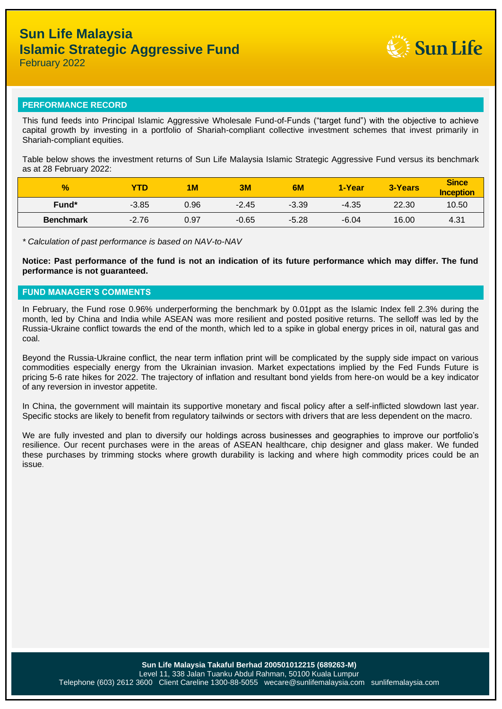

## **PERFORMANCE RECORD**

This fund feeds into Principal Islamic Aggressive Wholesale Fund-of-Funds ("target fund") with the objective to achieve capital growth by investing in a portfolio of Shariah-compliant collective investment schemes that invest primarily in Shariah-compliant equities.

Table below shows the investment returns of Sun Life Malaysia Islamic Strategic Aggressive Fund versus its benchmark as at 28 February 2022:

| $\frac{9}{6}$    | <b>YTD</b> | <b>1M</b> | 3M      | 6M      | 1-Year  | <b>3-Years</b> | <b>Since</b><br><b>Inception</b> |
|------------------|------------|-----------|---------|---------|---------|----------------|----------------------------------|
| Fund*            | $-3.85$    | 0.96      | $-2.45$ | $-3.39$ | $-4.35$ | 22.30          | 10.50                            |
| <b>Benchmark</b> | $-2.76$    | 0.97      | $-0.65$ | $-5.28$ | $-6.04$ | 16.00          | 4.31                             |

*\* Calculation of past performance is based on NAV-to-NAV*

**Notice: Past performance of the fund is not an indication of its future performance which may differ. The fund performance is not guaranteed.**

### **FUND MANAGER'S COMMENTS**

In February, the Fund rose 0.96% underperforming the benchmark by 0.01ppt as the Islamic Index fell 2.3% during the month, led by China and India while ASEAN was more resilient and posted positive returns. The selloff was led by the Russia-Ukraine conflict towards the end of the month, which led to a spike in global energy prices in oil, natural gas and coal.

Beyond the Russia-Ukraine conflict, the near term inflation print will be complicated by the supply side impact on various commodities especially energy from the Ukrainian invasion. Market expectations implied by the Fed Funds Future is pricing 5-6 rate hikes for 2022. The trajectory of inflation and resultant bond yields from here-on would be a key indicator of any reversion in investor appetite.

In China, the government will maintain its supportive monetary and fiscal policy after a self-inflicted slowdown last year. Specific stocks are likely to benefit from regulatory tailwinds or sectors with drivers that are less dependent on the macro.

We are fully invested and plan to diversify our holdings across businesses and geographies to improve our portfolio's resilience. Our recent purchases were in the areas of ASEAN healthcare, chip designer and glass maker. We funded these purchases by trimming stocks where growth durability is lacking and where high commodity prices could be an issue.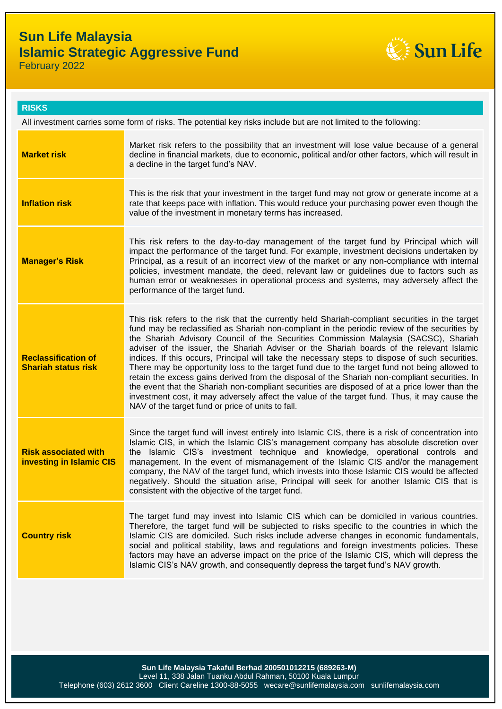# **Sun Life Malaysia Islamic Strategic Aggressive Fund**



February 2022

| <b>RISKS</b>                                                                                                     |                                                                                                                                                                                                                                                                                                                                                                                                                                                                                                                                                                                                                                                                                                                                                                                                                                                                                                                                                |  |  |  |
|------------------------------------------------------------------------------------------------------------------|------------------------------------------------------------------------------------------------------------------------------------------------------------------------------------------------------------------------------------------------------------------------------------------------------------------------------------------------------------------------------------------------------------------------------------------------------------------------------------------------------------------------------------------------------------------------------------------------------------------------------------------------------------------------------------------------------------------------------------------------------------------------------------------------------------------------------------------------------------------------------------------------------------------------------------------------|--|--|--|
| All investment carries some form of risks. The potential key risks include but are not limited to the following: |                                                                                                                                                                                                                                                                                                                                                                                                                                                                                                                                                                                                                                                                                                                                                                                                                                                                                                                                                |  |  |  |
| <b>Market risk</b>                                                                                               | Market risk refers to the possibility that an investment will lose value because of a general<br>decline in financial markets, due to economic, political and/or other factors, which will result in<br>a decline in the target fund's NAV.                                                                                                                                                                                                                                                                                                                                                                                                                                                                                                                                                                                                                                                                                                    |  |  |  |
| <b>Inflation risk</b>                                                                                            | This is the risk that your investment in the target fund may not grow or generate income at a<br>rate that keeps pace with inflation. This would reduce your purchasing power even though the<br>value of the investment in monetary terms has increased.                                                                                                                                                                                                                                                                                                                                                                                                                                                                                                                                                                                                                                                                                      |  |  |  |
| <b>Manager's Risk</b>                                                                                            | This risk refers to the day-to-day management of the target fund by Principal which will<br>impact the performance of the target fund. For example, investment decisions undertaken by<br>Principal, as a result of an incorrect view of the market or any non-compliance with internal<br>policies, investment mandate, the deed, relevant law or guidelines due to factors such as<br>human error or weaknesses in operational process and systems, may adversely affect the<br>performance of the target fund.                                                                                                                                                                                                                                                                                                                                                                                                                              |  |  |  |
| <b>Reclassification of</b><br><b>Shariah status risk</b>                                                         | This risk refers to the risk that the currently held Shariah-compliant securities in the target<br>fund may be reclassified as Shariah non-compliant in the periodic review of the securities by<br>the Shariah Advisory Council of the Securities Commission Malaysia (SACSC), Shariah<br>adviser of the issuer, the Shariah Adviser or the Shariah boards of the relevant Islamic<br>indices. If this occurs, Principal will take the necessary steps to dispose of such securities.<br>There may be opportunity loss to the target fund due to the target fund not being allowed to<br>retain the excess gains derived from the disposal of the Shariah non-compliant securities. In<br>the event that the Shariah non-compliant securities are disposed of at a price lower than the<br>investment cost, it may adversely affect the value of the target fund. Thus, it may cause the<br>NAV of the target fund or price of units to fall. |  |  |  |
| <b>Risk associated with</b><br>investing in Islamic CIS                                                          | Since the target fund will invest entirely into Islamic CIS, there is a risk of concentration into<br>Islamic CIS, in which the Islamic CIS's management company has absolute discretion over<br>the Islamic CIS's investment technique and knowledge, operational controls and<br>management. In the event of mismanagement of the Islamic CIS and/or the management<br>company, the NAV of the target fund, which invests into those Islamic CIS would be affected<br>negatively. Should the situation arise, Principal will seek for another Islamic CIS that is<br>consistent with the objective of the target fund.                                                                                                                                                                                                                                                                                                                       |  |  |  |
| <b>Country risk</b>                                                                                              | The target fund may invest into Islamic CIS which can be domiciled in various countries.<br>Therefore, the target fund will be subjected to risks specific to the countries in which the<br>Islamic CIS are domiciled. Such risks include adverse changes in economic fundamentals,<br>social and political stability, laws and regulations and foreign investments policies. These<br>factors may have an adverse impact on the price of the Islamic CIS, which will depress the<br>Islamic CIS's NAV growth, and consequently depress the target fund's NAV growth.                                                                                                                                                                                                                                                                                                                                                                          |  |  |  |

**Sun Life Malaysia Takaful Berhad 200501012215 (689263-M)** Level 11, 338 Jalan Tuanku Abdul Rahman, 50100 Kuala Lumpur Telephone (603) 2612 3600 Client Careline 1300-88-5055 wecare@sunlifemalaysia.com sunlifemalaysia.com